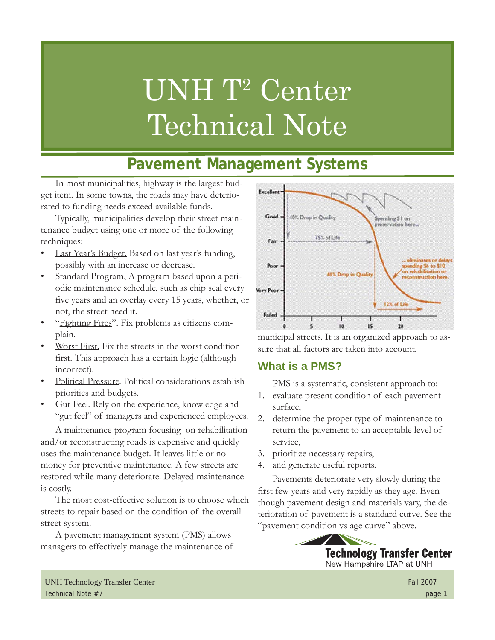# UNH T<sup>2</sup> Center Technical Note

# **Pavement Management Systems**

In most municipalities, highway is the largest budget item. In some towns, the roads may have deteriorated to funding needs exceed available funds.

Typically, municipalities develop their street maintenance budget using one or more of the following techniques:

- Last Year's Budget. Based on last year's funding, possibly with an increase or decrease.
- Standard Program. A program based upon a periodic maintenance schedule, such as chip seal every five years and an overlay every 15 years, whether, or not, the street need it.
- "Fighting Fires". Fix problems as citizens complain.
- Worst First. Fix the streets in the worst condition first. This approach has a certain logic (although incorrect).
- Political Pressure. Political considerations establish priorities and budgets.
- Gut Feel. Rely on the experience, knowledge and "gut feel" of managers and experienced employees.

A maintenance program focusing on rehabilitation and/or reconstructing roads is expensive and quickly uses the maintenance budget. It leaves little or no money for preventive maintenance. A few streets are restored while many deteriorate. Delayed maintenance is costly.

The most cost-effective solution is to choose which streets to repair based on the condition of the overall street system.

A pavement management system (PMS) allows managers to effectively manage the maintenance of



municipal streets. It is an organized approach to assure that all factors are taken into account.

# **What is a PMS?**

PMS is a systematic, consistent approach to:

- 1. evaluate present condition of each pavement surface,
- 2. determine the proper type of maintenance to return the pavement to an acceptable level of service,
- 3. prioritize necessary repairs,
- 4. and generate useful reports.

Pavements deteriorate very slowly during the first few years and very rapidly as they age. Even though pavement design and materials vary, the deterioration of pavement is a standard curve. See the "pavement condition vs age curve" above.



UNH Technology Transfer Center Fall 2007 Technical Note #7 page 1 page 1 page 1 page 1 page 1 page 1 page 1 page 1 page 1 page 1 page 1 page 1 page 1 page 1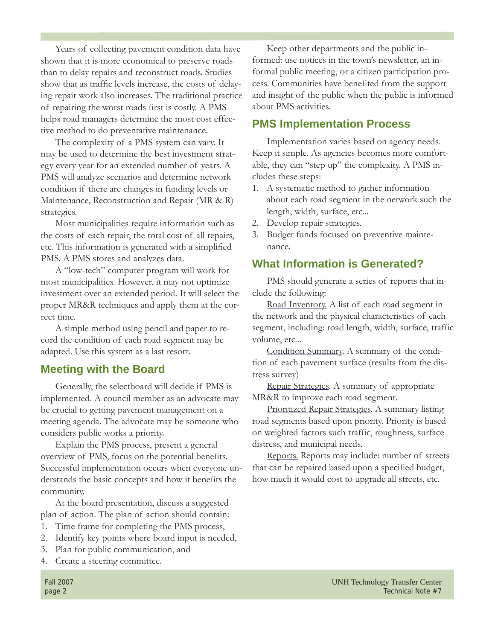Years of collecting pavement condition data have shown that it is more economical to preserve roads than to delay repairs and reconstruct roads. Studies show that as traffic levels increase, the costs of delaying repair work also increases. The traditional practice of repairing the worst roads first is costly. A PMS helps road managers determine the most cost effective method to do preventative maintenance.

The complexity of a PMS system can vary. It may be used to determine the best investment strategy every year for an extended number of years. A PMS will analyze scenarios and determine network condition if there are changes in funding levels or Maintenance, Reconstruction and Repair (MR & R) strategies.

Most municipalities require information such as the costs of each repair, the total cost of all repairs, etc. This information is generated with a simplified PMS. A PMS stores and analyzes data.

A "low-tech" computer program will work for most municipalities. However, it may not optimize investment over an extended period. It will select the proper MR&R techniques and apply them at the correct time.

A simple method using pencil and paper to record the condition of each road segment may be adapted. Use this system as a last resort.

#### **Meeting with the Board**

Generally, the selectboard will decide if PMS is implemented. A council member as an advocate may be crucial to getting pavement management on a meeting agenda. The advocate may be someone who considers public works a priority.

Explain the PMS process, present a general overview of PMS, focus on the potential benefits. Successful implementation occurs when everyone understands the basic concepts and how it benefits the community.

At the board presentation, discuss a suggested plan of action. The plan of action should contain:

- 1. Time frame for completing the PMS process,
- 2. Identify key points where board input is needed,
- 3. Plan for public communication, and
- 4. Create a steering committee.

Keep other departments and the public informed: use notices in the town's newsletter, an informal public meeting, or a citizen participation process. Communities have benefited from the support and insight of the public when the public is informed about PMS activities.

#### **PMS Implementation Process**

Implementation varies based on agency needs. Keep it simple. As agencies becomes more comfortable, they can "step up" the complexity. A PMS includes these steps:

- 1. A systematic method to gather information about each road segment in the network such the length, width, surface, etc...
- 2. Develop repair strategies.
- 3. Budget funds focused on preventive maintenance.

### **What Information is Generated?**

PMS should generate a series of reports that include the following:

Road Inventory. A list of each road segment in the network and the physical characteristics of each segment, including: road length, width, surface, traffic volume, etc...

Condition Summary. A summary of the condition of each pavement surface (results from the distress survey)

Repair Strategies. A summary of appropriate MR&R to improve each road segment.

Prioritized Repair Strategies. A summary listing road segments based upon priority. Priority is based on weighted factors such traffic, roughness, surface distress, and municipal needs.

Reports. Reports may include: number of streets that can be repaired based upon a specified budget, how much it would cost to upgrade all streets, etc.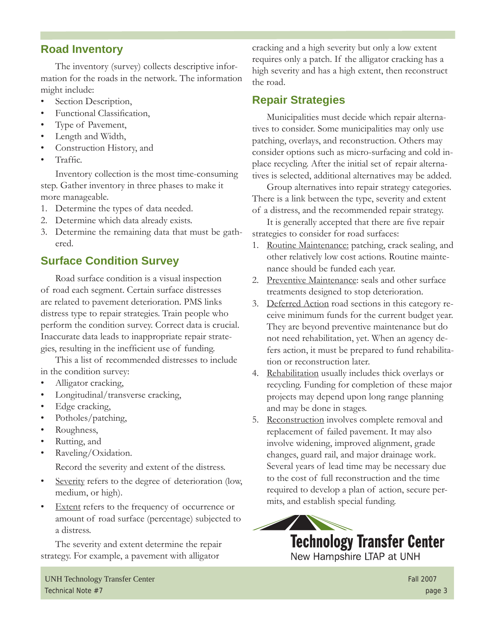# **Road Inventory**

The inventory (survey) collects descriptive information for the roads in the network. The information might include:

- Section Description,
- **Functional Classification,**
- Type of Pavement,
- Length and Width,
- Construction History, and
- Traffic.

Inventory collection is the most time-consuming step. Gather inventory in three phases to make it more manageable.

- 1. Determine the types of data needed.
- 2. Determine which data already exists.
- 3. Determine the remaining data that must be gathered.

# **Surface Condition Survey**

Road surface condition is a visual inspection of road each segment. Certain surface distresses are related to pavement deterioration. PMS links distress type to repair strategies. Train people who perform the condition survey. Correct data is crucial. Inaccurate data leads to inappropriate repair strategies, resulting in the inefficient use of funding.

This a list of recommended distresses to include in the condition survey:

- Alligator cracking,
- Longitudinal/transverse cracking,
- Edge cracking,
- Potholes/patching,
- Roughness,
- Rutting, and
- Raveling/Oxidation.

Record the severity and extent of the distress.

- Severity refers to the degree of deterioration (low, medium, or high).
- Extent refers to the frequency of occurrence or amount of road surface (percentage) subjected to a distress.

The severity and extent determine the repair strategy. For example, a pavement with alligator

cracking and a high severity but only a low extent requires only a patch. If the alligator cracking has a high severity and has a high extent, then reconstruct the road.

## **Repair Strategies**

Municipalities must decide which repair alternatives to consider. Some municipalities may only use patching, overlays, and reconstruction. Others may consider options such as micro-surfacing and cold inplace recycling. After the initial set of repair alternatives is selected, additional alternatives may be added.

Group alternatives into repair strategy categories. There is a link between the type, severity and extent of a distress, and the recommended repair strategy.

It is generally accepted that there are five repair strategies to consider for road surfaces:

- 1. Routine Maintenance: patching, crack sealing, and other relatively low cost actions. Routine maintenance should be funded each year.
- 2. Preventive Maintenance: seals and other surface treatments designed to stop deterioration.
- 3. Deferred Action road sections in this category receive minimum funds for the current budget year. They are beyond preventive maintenance but do not need rehabilitation, yet. When an agency defers action, it must be prepared to fund rehabilitation or reconstruction later.
- 4. Rehabilitation usually includes thick overlays or recycling. Funding for completion of these major projects may depend upon long range planning and may be done in stages.
- 5. Reconstruction involves complete removal and replacement of failed pavement. It may also involve widening, improved alignment, grade changes, guard rail, and major drainage work. Several years of lead time may be necessary due to the cost of full reconstruction and the time required to develop a plan of action, secure permits, and establish special funding.